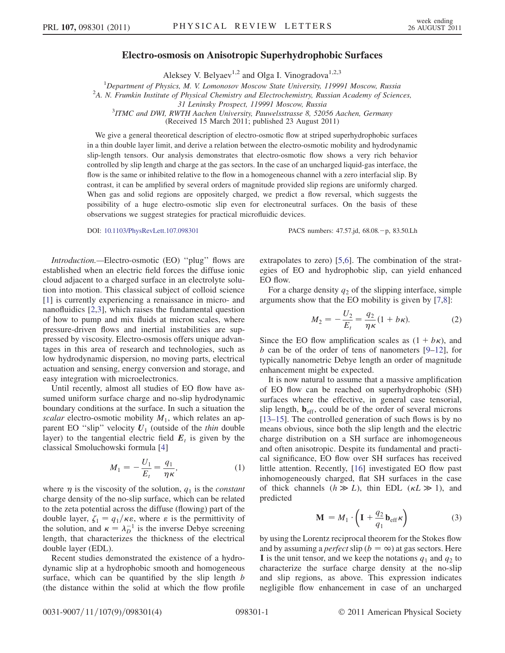## Electro-osmosis on Anisotropic Superhydrophobic Surfaces

Aleksey V. Belyaev<sup>1,2</sup> and Olga I. Vinogradova<sup>1,2,3</sup>

<sup>1</sup>Department of Physics, M. V. Lomonosov Moscow State University, 119991 Moscow, Russia<br><sup>2</sup>A N. Erumkin Institute of Physical Chamistry and Electrochamistry, Pussian Academy of Science

 $2A$ . N. Frumkin Institute of Physical Chemistry and Electrochemistry, Russian Academy of Sciences,

31 Leninsky Prospect, 119991 Moscow, Russia <sup>3</sup> ITMC and DWI, RWTH Aachen University, Pauwelsstrasse 8, 52056 Aachen, Germany

(Received 15 March 2011; published 23 August 2011)

We give a general theoretical description of electro-osmotic flow at striped superhydrophobic surfaces in a thin double layer limit, and derive a relation between the electro-osmotic mobility and hydrodynamic slip-length tensors. Our analysis demonstrates that electro-osmotic flow shows a very rich behavior controlled by slip length and charge at the gas sectors. In the case of an uncharged liquid-gas interface, the flow is the same or inhibited relative to the flow in a homogeneous channel with a zero interfacial slip. By contrast, it can be amplified by several orders of magnitude provided slip regions are uniformly charged. When gas and solid regions are oppositely charged, we predict a flow reversal, which suggests the possibility of a huge electro-osmotic slip even for electroneutral surfaces. On the basis of these observations we suggest strategies for practical microfluidic devices.

DOI: [10.1103/PhysRevLett.107.098301](http://dx.doi.org/10.1103/PhysRevLett.107.098301) PACS numbers: 47.57.jd, 68.08. - p, 83.50.Lh

Introduction.—Electro-osmotic (EO) ''plug'' flows are established when an electric field forces the diffuse ionic cloud adjacent to a charged surface in an electrolyte solution into motion. This classical subject of colloid science [\[1\]](#page-3-0) is currently experiencing a renaissance in micro- and nanofluidics [\[2](#page-3-1),[3](#page-3-2)], which raises the fundamental question of how to pump and mix fluids at micron scales, where pressure-driven flows and inertial instabilities are suppressed by viscosity. Electro-osmosis offers unique advantages in this area of research and technologies, such as low hydrodynamic dispersion, no moving parts, electrical actuation and sensing, energy conversion and storage, and easy integration with microelectronics.

Until recently, almost all studies of EO flow have assumed uniform surface charge and no-slip hydrodynamic boundary conditions at the surface. In such a situation the scalar electro-osmotic mobility  $M_1$ , which relates an apparent EO "slip" velocity  $U_1$  (outside of the thin double layer) to the tangential electric field  $E_t$  is given by the classical Smoluchowski formula [\[4\]](#page-3-3)

$$
M_1 = -\frac{U_1}{E_t} = \frac{q_1}{\eta \kappa},
$$
 (1)

where  $\eta$  is the viscosity of the solution,  $q_1$  is the *constant* charge density of the no-slip surface, which can be related to the zeta potential across the diffuse (flowing) part of the double layer,  $\zeta_1 = q_1/\kappa \varepsilon$ , where  $\varepsilon$  is the permittivity of the solution and  $\kappa = \lambda^{-1}$  is the inverse Debye screening the solution, and  $\kappa = \lambda_D^{-1}$  is the inverse Debye screening<br>length that characterizes the thickness of the electrical length, that characterizes the thickness of the electrical double layer (EDL).

Recent studies demonstrated the existence of a hydrodynamic slip at a hydrophobic smooth and homogeneous surface, which can be quantified by the slip length  $b$ (the distance within the solid at which the flow profile extrapolates to zero) [\[5](#page-3-4),[6](#page-3-5)]. The combination of the strategies of EO and hydrophobic slip, can yield enhanced EO flow.

<span id="page-0-1"></span>For a charge density  $q_2$  of the slipping interface, simple arguments show that the EO mobility is given by [[7,](#page-3-6)[8\]](#page-3-7):

$$
M_2 = -\frac{U_2}{E_t} = \frac{q_2}{\eta \kappa} (1 + b\kappa).
$$
 (2)

Since the EO flow amplification scales as  $(1 + b\kappa)$ , and  $b$  can be of the order of tens of nanometers  $[9-12]$  for b can be of the order of tens of nanometers  $[9-12]$  $[9-12]$  $[9-12]$ , for typically nanometric Debye length an order of magnitude enhancement might be expected.

It is now natural to assume that a massive amplification of EO flow can be reached on superhydrophobic (SH) surfaces where the effective, in general case tensorial, slip length,  $\mathbf{b}_{\text{eff}}$ , could be of the order of several microns [\[13–](#page-3-10)[15\]](#page-3-11). The controlled generation of such flows is by no means obvious, since both the slip length and the electric charge distribution on a SH surface are inhomogeneous and often anisotropic. Despite its fundamental and practical significance, EO flow over SH surfaces has received little attention. Recently, [\[16\]](#page-3-12) investigated EO flow past inhomogeneously charged, flat SH surfaces in the case of thick channels  $(h \gg L)$ , thin EDL  $(\kappa L \gg 1)$ , and predicted predicted

$$
\mathbf{M} = M_1 \cdot \left( \mathbf{I} + \frac{q_2}{q_1} \mathbf{b}_{\text{eff}} \kappa \right) \tag{3}
$$

<span id="page-0-0"></span>by using the Lorentz reciprocal theorem for the Stokes flow and by assuming a *perfect* slip ( $b = \infty$ ) at gas sectors. Here I is the unit tensor, and we keep the notations  $q_1$  and  $q_2$  to characterize the surface charge density at the no-slip and slip regions, as above. This expression indicates negligible flow enhancement in case of an uncharged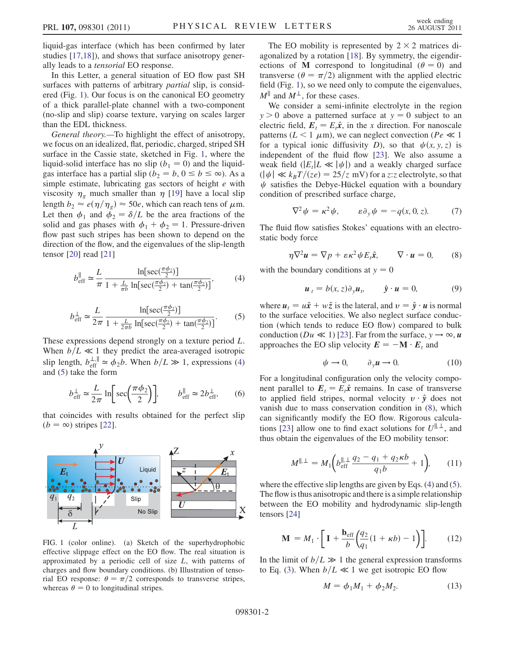liquid-gas interface (which has been confirmed by later studies [[17](#page-3-13),[18](#page-3-14)]), and shows that surface anisotropy generally leads to a tensorial EO response.

In this Letter, a general situation of EO flow past SH surfaces with patterns of arbitrary *partial* slip, is considered (Fig. [1\)](#page-1-0). Our focus is on the canonical EO geometry of a thick parallel-plate channel with a two-component (no-slip and slip) coarse texture, varying on scales larger than the EDL thickness.

General theory.—To highlight the effect of anisotropy, we focus on an idealized, flat, periodic, charged, striped SH surface in the Cassie state, sketched in Fig. [1,](#page-1-0) where the liquid-solid interface has no slip  $(b_1 = 0)$  and the liquidgas interface has a partial slip ( $b_2 = b$ ,  $0 \le b \le \infty$ ). As a simple estimate, lubricating gas sectors of height  $e$  with viscosity  $\eta_g$  much smaller than  $\eta$  [\[19\]](#page-3-15) have a local slip length  $b_2 \approx e(\eta/\eta_g) \approx 50e$ , which can reach tens of  $\mu$ m. Let then  $\phi_1$  and  $\phi_2 = \delta/L$  be the area fractions of the solid and gas phases with  $\phi_1 + \phi_2 = 1$ . Pressure-driven flow past such stripes has been shown to depend on the direction of the flow, and the eigenvalues of the slip-length tensor [\[20\]](#page-3-16) read [[21](#page-3-17)]

<span id="page-1-2"></span>
$$
b_{\text{eff}}^{\parallel} \simeq \frac{L}{\pi} \frac{\ln[\sec(\frac{\pi \phi_2}{2})]}{1 + \frac{L}{\pi b} \ln[\sec(\frac{\pi \phi_2}{2}) + \tan(\frac{\pi \phi_2}{2})]},\tag{4}
$$

$$
b_{\text{eff}}^{\perp} \simeq \frac{L}{2\pi} \frac{\ln[\sec(\frac{\pi\phi_2}{2})]}{1 + \frac{L}{2\pi b} \ln[\sec(\frac{\pi\phi_2}{2}) + \tan(\frac{\pi\phi_2}{2})]}.
$$
 (5)

<span id="page-1-1"></span>These expressions depend strongly on a texture period L. When  $b/L \ll 1$  they predict the area-averaged isotropic slip length,  $b_{\text{eff}}^{\perp,\parallel} \approx \phi_2 b$ . When  $b/L \gg 1$ , expressions [\(4\)](#page-1-1) and ([5\)](#page-1-2) take the form

$$
b_{\text{eff}}^{\perp} \simeq \frac{L}{2\pi} \ln \left[ \sec \left( \frac{\pi \phi_2}{2} \right) \right], \qquad b_{\text{eff}}^{\parallel} \simeq 2b_{\text{eff}}^{\perp}, \qquad (6)
$$

that coincides with results obtained for the perfect slip  $(b = \infty)$  stripes [[22](#page-3-18)].

<span id="page-1-0"></span>

FIG. 1 (color online). (a) Sketch of the superhydrophobic effective slippage effect on the EO flow. The real situation is approximated by a periodic cell of size  $L$ , with patterns of charges and flow boundary conditions. (b) Illustration of tensorial EO response:  $\theta = \pi/2$  corresponds to transverse stripes, whereas  $\theta = 0$  to longitudinal stripes.

The EO mobility is represented by  $2 \times 2$  matrices diagonalized by a rotation [\[18\]](#page-3-14). By symmetry, the eigendirections of M correspond to longitudinal  $(\theta = 0)$  and transverse ( $\theta = \pi/2$ ) alignment with the applied electric field (Fig. [1](#page-1-0)), so we need only to compute the eigenvalues,  $M^{\parallel}$  and  $M^{\perp}$ , for these cases.

We consider a semi-infinite electrolyte in the region  $y > 0$  above a patterned surface at  $y = 0$  subject to an electric field,  $E_t = E_t \hat{x}$ , in the x direction. For nanoscale patterns ( $L < 1 \mu$ m), we can neglect convection ( $Pe \ll 1$ for a typical ionic diffusivity D), so that  $\psi(x, y, z)$  is independent of the fluid flow [[23](#page-3-19)]. We also assume a weak field  $(|E_t|L \ll |\psi|)$  and a weakly charged surface  $(|\psi| \ll k_B T/(ze) = 25/z$  mV) for a z:z electrolyte, so that  $\psi$  satisfies the Debye-Hückel equation with a boundary condition of prescribed surface charge,

$$
\nabla^2 \psi = \kappa^2 \psi, \qquad \varepsilon \partial_y \psi = -q(x, 0, z). \tag{7}
$$

<span id="page-1-3"></span>The fluid flow satisfies Stokes' equations with an electrostatic body force

$$
\eta \nabla^2 \mathbf{u} = \nabla p + \varepsilon \kappa^2 \psi E_t \hat{\mathbf{x}}, \qquad \nabla \cdot \mathbf{u} = 0,
$$
 (8)

with the boundary conditions at  $y = 0$ 

$$
\mathbf{u}_t = b(x, z)\partial_y \mathbf{u}_t, \qquad \hat{\mathbf{y}} \cdot \mathbf{u} = 0,
$$
 (9)

where  $u_t = u\hat{x} + w\hat{z}$  is the lateral, and  $v = \hat{y} \cdot u$  is normal to the surface velocities. We also neglect surface conduction (which tends to reduce EO flow) compared to bulk conduction ( $Du \ll 1$ ) [\[23\]](#page-3-19). Far from the surface,  $v \to \infty$ , u approaches the EO slip velocity  $E = -\mathbf{M} \cdot E_t$  and

$$
\psi \to 0, \qquad \partial_y u \to 0. \tag{10}
$$

For a longitudinal configuration only the velocity component parallel to  $E_t = E_t \hat{x}$  remains. In case of transverse to applied field stripes, normal velocity  $v \cdot \hat{v}$  does not vanish due to mass conservation condition in [\(8](#page-1-3)), which can significantly modify the EO flow. Rigorous calcula-tions [\[23\]](#page-3-19) allow one to find exact solutions for  $U^{\parallel,\perp}$ , and thus obtain the eigenvalues of the EO mobility tensor:

$$
M^{\parallel, \perp} = M_1 \bigg( b_{\text{eff}}^{\parallel, \perp} \frac{q_2 - q_1 + q_2 \kappa b}{q_1 b} + 1 \bigg), \qquad (11)
$$

where the effective slip lengths are given by Eqs. [\(4](#page-1-1)) and ([5](#page-1-2)). The flow is thus anisotropic and there is a simple relationship between the EO mobility and hydrodynamic slip-length tensors [\[24\]](#page-3-20)

<span id="page-1-4"></span>
$$
\mathbf{M} = M_1 \cdot \left[ \mathbf{I} + \frac{\mathbf{b}_{\text{eff}}}{b} \left( \frac{q_2}{q_1} (1 + \kappa b) - 1 \right) \right]. \tag{12}
$$

In the limit of  $b/L \gg 1$  the general expression transforms<br>to Eq. (3) When  $b/L \ll 1$  we get isotropic EQ flow to Eq. [\(3](#page-0-0)). When  $b/L \ll 1$  we get isotropic EO flow

$$
M = \phi_1 M_1 + \phi_2 M_2. \tag{13}
$$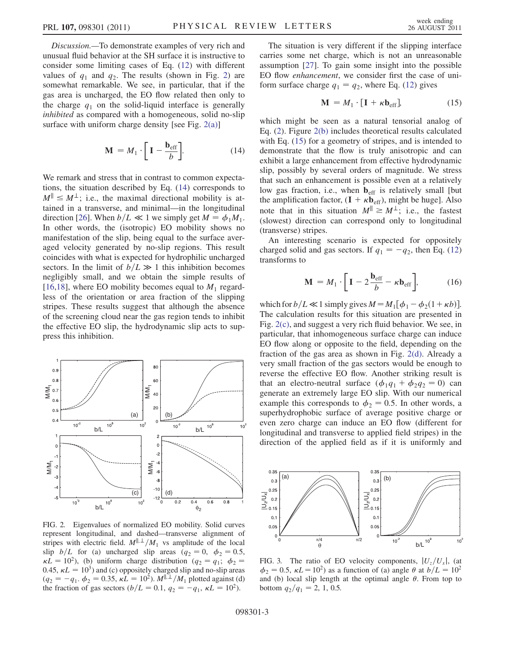Discussion.—To demonstrate examples of very rich and unusual fluid behavior at the SH surface it is instructive to consider some limiting cases of Eq. [\(12\)](#page-1-4) with different values of  $q_1$  and  $q_2$ . The results (shown in Fig. [2\)](#page-2-0) are somewhat remarkable. We see, in particular, that if the gas area is uncharged, the EO flow related then only to the charge  $q_1$  on the solid-liquid interface is generally inhibited as compared with a homogeneous, solid no-slip surface with uniform charge density [see Fig.  $2(a)$ ]

$$
\mathbf{M} = M_1 \cdot \left[ \mathbf{I} - \frac{\mathbf{b}_{\text{eff}}}{b} \right]. \tag{14}
$$

<span id="page-2-2"></span>We remark and stress that in contrast to common expectations, the situation described by Eq. [\(14\)](#page-2-2) corresponds to  $M^{\parallel} \leq M^{\perp}$ ; i.e., the maximal directional mobility is attained in a transverse, and minimal—in the longitudinal direction [\[26\]](#page-3-21). When  $b/L \ll 1$  we simply get  $M = \phi_1 M_1$ . In other words, the (isotropic) EO mobility shows no manifestation of the slip, being equal to the surface averaged velocity generated by no-slip regions. This result coincides with what is expected for hydrophilic uncharged sectors. In the limit of  $b/L \gg 1$  this inhibition becomes<br>negligibly small, and we obtain the simple results of negligibly small, and we obtain the simple results of [\[16](#page-3-12)[,18\]](#page-3-14), where EO mobility becomes equal to  $M_1$  regardless of the orientation or area fraction of the slipping stripes. These results suggest that although the absence of the screening cloud near the gas region tends to inhibit the effective EO slip, the hydrodynamic slip acts to suppress this inhibition.

<span id="page-2-0"></span>

<span id="page-2-1"></span>FIG. 2. Eigenvalues of normalized EO mobility. Solid curves represent longitudinal, and dashed—transverse alignment of stripes with electric field.  $M^{||,\perp}/M_1$  vs amplitude of the local slip  $b/L$  for (a) uncharged slip areas ( $q_2 = 0$ ,  $\phi_2 = 0.5$ , 0.45,  $\kappa L = 10^3$ ) and (c) oppositely charged slip and no-slip areas<br>  $(a_2 = -a, \phi_2 = 0.35, \psi I = 10^2, M^{\parallel, \perp} / M$ , plotted against (d)  $\kappa L = 10^2$ ), (b) uniform charge distribution ( $q_2 = q_1$ ;  $\phi_2 =$  $(q_2 = -q_1, \phi_2 = 0.35, \kappa L = 10^2)$ .  $M^{\parallel, \perp}/M_1$  plotted against (d)<br>the fraction of gas sectors  $(h/L = 0.1, q_2 = -q, \kappa L = 10^2)$ the fraction of gas sectors  $(b/L = 0.1, q_2 = -q_1, \kappa L = 10^2)$ .

The situation is very different if the slipping interface carries some net charge, which is not an unreasonable assumption [\[27\]](#page-3-22). To gain some insight into the possible EO flow enhancement, we consider first the case of uniform surface charge  $q_1 = q_2$ , where Eq. ([12](#page-1-4)) gives

$$
\mathbf{M} = M_1 \cdot [\mathbf{I} + \kappa \mathbf{b}_{\text{eff}}], \tag{15}
$$

<span id="page-2-3"></span>which might be seen as a natural tensorial analog of Eq. ([2](#page-0-1)). Figure [2\(b\)](#page-2-1) includes theoretical results calculated with Eq. [\(15\)](#page-2-3) for a geometry of stripes, and is intended to demonstrate that the flow is truly anisotropic and can exhibit a large enhancement from effective hydrodynamic slip, possibly by several orders of magnitude. We stress that such an enhancement is possible even at a relatively low gas fraction, i.e., when  $\mathbf{b}_{\text{eff}}$  is relatively small [but the amplification factor,  $(I + \kappa \mathbf{b}_{eff})$ , might be huge]. Also note that in this situation  $M^{\parallel} \geq M^{\perp}$ ; i.e., the fastest (slowest) direction can correspond only to longitudinal (transverse) stripes.

An interesting scenario is expected for oppositely charged solid and gas sectors. If  $q_1 = -q_2$ , then Eq. [\(12\)](#page-1-4) transforms to

$$
\mathbf{M} = M_1 \cdot \left[ \mathbf{I} - 2 \frac{\mathbf{b}_{\text{eff}}}{b} - \kappa \mathbf{b}_{\text{eff}} \right],\tag{16}
$$

which for  $b/L \ll 1$  simply gives  $M = M_1[\phi_1 - \phi_2(1 + \kappa b)]$ .<br>The calculation results for this situation are presented in The calculation results for this situation are presented in Fig. [2\(c\),](#page-2-1) and suggest a very rich fluid behavior. We see, in particular, that inhomogeneous surface charge can induce EO flow along or opposite to the field, depending on the fraction of the gas area as shown in Fig. [2\(d\).](#page-2-1) Already a very small fraction of the gas sectors would be enough to reverse the effective EO flow. Another striking result is that an electro-neutral surface  $(\phi_1q_1 + \phi_2q_2 = 0)$  can generate an extremely large EO slip. With our numerical example this corresponds to  $\phi_2 = 0.5$ . In other words, a superhydrophobic surface of average positive charge or even zero charge can induce an EO flow (different for longitudinal and transverse to applied field stripes) in the direction of the applied field as if it is uniformly and



<span id="page-2-4"></span>FIG. 3. The ratio of EO velocity components,  $|U_z/U_x|$ , (at  $\phi_2 = 0.5$ ,  $\kappa L = 10^2$ ) as a function of (a) angle  $\theta$  at  $\frac{b}{L} = 10^2$ <br>and (b) local slip length at the optimal angle  $\theta$ . From top to and (b) local slip length at the optimal angle  $\theta$ . From top to bottom  $q_2/q_1 = 2, 1, 0.5$ .